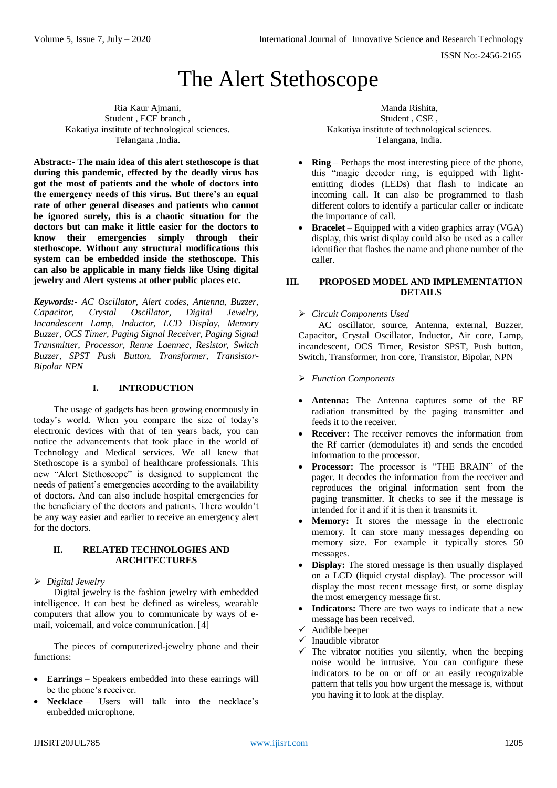ISSN No:-2456-2165

# The Alert Stethoscope

Ria Kaur Ajmani, Student , ECE branch , Kakatiya institute of technological sciences. Telangana ,India.

**Abstract:- The main idea of this alert stethoscope is that during this pandemic, effected by the deadly virus has got the most of patients and the whole of doctors into the emergency needs of this virus. But there's an equal rate of other general diseases and patients who cannot be ignored surely, this is a chaotic situation for the doctors but can make it little easier for the doctors to know their emergencies simply through their stethoscope. Without any structural modifications this system can be embedded inside the stethoscope. This can also be applicable in many fields like Using digital jewelry and Alert systems at other public places etc.**

*Keywords:- AC Oscillator, Alert codes, Antenna, Buzzer, Capacitor, Crystal Oscillator, Digital Jewelry, Incandescent Lamp, Inductor, LCD Display, Memory Buzzer, OCS Timer, Paging Signal Receiver, Paging Signal Transmitter, Processor, Renne Laennec, Resistor, Switch Buzzer, SPST Push Button, Transformer, Transistor-Bipolar NPN*

#### **I. INTRODUCTION**

The usage of gadgets has been growing enormously in today's world. When you compare the size of today's electronic devices with that of ten years back, you can notice the advancements that took place in the world of Technology and Medical services. We all knew that Stethoscope is a symbol of healthcare professionals. This new "Alert Stethoscope" is designed to supplement the needs of patient's emergencies according to the availability of doctors. And can also include hospital emergencies for the beneficiary of the doctors and patients. There wouldn't be any way easier and earlier to receive an emergency alert for the doctors.

#### **II. RELATED TECHNOLOGIES AND ARCHITECTURES**

*Digital Jewelry*

Digital jewelry is the fashion jewelry with embedded intelligence. It can best be defined as wireless, wearable computers that allow you to communicate by ways of email, voicemail, and voice communication. [4]

The pieces of computerized-jewelry phone and their functions:

- **Earrings** Speakers embedded into these earrings will be the phone's receiver.
- **Necklace** Users will talk into the necklace's embedded microphone.

Manda Rishita, Student , CSE , Kakatiya institute of technological sciences. Telangana, India.

- **Ring** Perhaps the most interesting piece of the phone, this "magic decoder ring, is equipped with lightemitting diodes (LEDs) that flash to indicate an incoming call. It can also be programmed to flash different colors to identify a particular caller or indicate the importance of call.
- **Bracelet** Equipped with a video graphics array (VGA) display, this wrist display could also be used as a caller identifier that flashes the name and phone number of the caller.

#### **III. PROPOSED MODEL AND IMPLEMENTATION DETAILS**

#### *Circuit Components Used*

AC oscillator, source, Antenna, external, Buzzer, Capacitor, Crystal Oscillator, Inductor, Air core, Lamp, incandescent, OCS Timer, Resistor SPST, Push button, Switch, Transformer, Iron core, Transistor, Bipolar, NPN

- *Function Components*
- **Antenna:** The Antenna captures some of the RF radiation transmitted by the paging transmitter and feeds it to the receiver.
- **Receiver:** The receiver removes the information from the Rf carrier (demodulates it) and sends the encoded information to the processor.
- **Processor:** The processor is "THE BRAIN" of the pager. It decodes the information from the receiver and reproduces the original information sent from the paging transmitter. It checks to see if the message is intended for it and if it is then it transmits it.
- **Memory:** It stores the message in the electronic memory. It can store many messages depending on memory size. For example it typically stores 50 messages.
- **Display:** The stored message is then usually displayed on a LCD (liquid crystal display). The processor will display the most recent message first, or some display the most emergency message first.
- **Indicators:** There are two ways to indicate that a new message has been received.
- $\checkmark$  Audible beeper
- $\checkmark$  Inaudible vibrator
- $\checkmark$  The vibrator notifies you silently, when the beeping noise would be intrusive. You can configure these indicators to be on or off or an easily recognizable pattern that tells you how urgent the message is, without you having it to look at the display.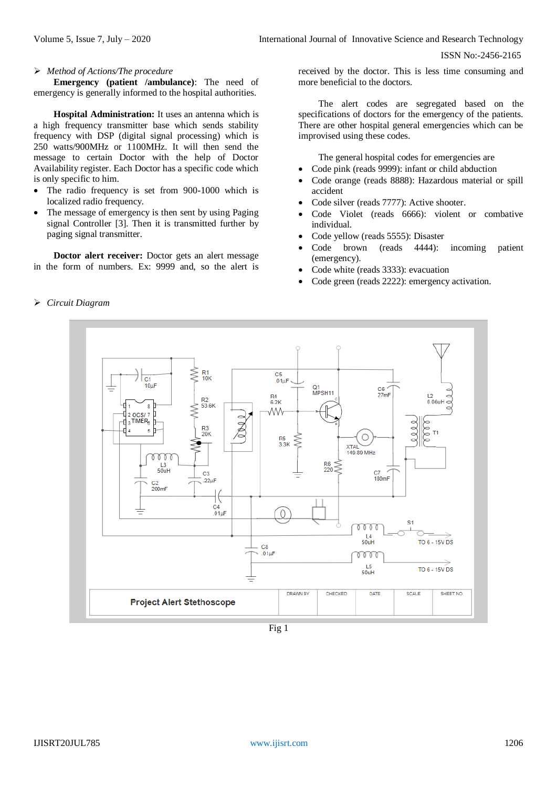ISSN No:-2456-2165

### *Method of Actions/The procedure*

**Emergency (patient /ambulance)**: The need of emergency is generally informed to the hospital authorities.

**Hospital Administration:** It uses an antenna which is a high frequency transmitter base which sends stability frequency with DSP (digital signal processing) which is 250 watts/900MHz or 1100MHz. It will then send the message to certain Doctor with the help of Doctor Availability register. Each Doctor has a specific code which is only specific to him.

- The radio frequency is set from 900-1000 which is localized radio frequency.
- The message of emergency is then sent by using Paging signal Controller [3]. Then it is transmitted further by paging signal transmitter.

**Doctor alert receiver:** Doctor gets an alert message in the form of numbers. Ex: 9999 and, so the alert is received by the doctor. This is less time consuming and more beneficial to the doctors.

The alert codes are segregated based on the specifications of doctors for the emergency of the patients. There are other hospital general emergencies which can be improvised using these codes.

The general hospital codes for emergencies are

- Code pink (reads 9999): infant or child abduction
- Code orange (reads 8888): Hazardous material or spill accident
- Code silver (reads 7777): Active shooter.
- Code Violet (reads 6666): violent or combative individual.
- Code yellow (reads 5555): Disaster
- Code brown (reads 4444): incoming patient (emergency).
- Code white (reads 3333): evacuation
- Code green (reads 2222): emergency activation.

#### R1<br>10K  $C<sub>5</sub>$  $\overline{c_1}$  $.01<sub>U</sub>$  $10<sub>U</sub>$ Q1<br>MPSH11  $rac{C6}{27}$ mF  $\mathbf{p}_4$  $6.2K$  $0.06$ uł 53.6K s ٨W ncsr: R3<br>20K  $\bigcirc$ R5<br>3.3K  $XTAL$ <br>149.89 MHz 78 78  $L<sup>3</sup>$ <sub>50u</sub>  $R6 \leq 220$ C<sub>3</sub>  $C<sub>7</sub>$ 180<sub>mF</sub>  $22.1$ C2<br>200mF  $C4$ <br>.01 $\mu$ F 0  $\mathbf{c}$ m  $L4$ <br>50uH **TO 6 - 15V DS** C<sub>8</sub>  $010F$ m 15 TO 6 - 15V DS  $50uH$ DRAWN BY CHECKED DATE SCALE SHEET NO **Project Alert Stethoscope**

Fig 1

## *Circuit Diagram*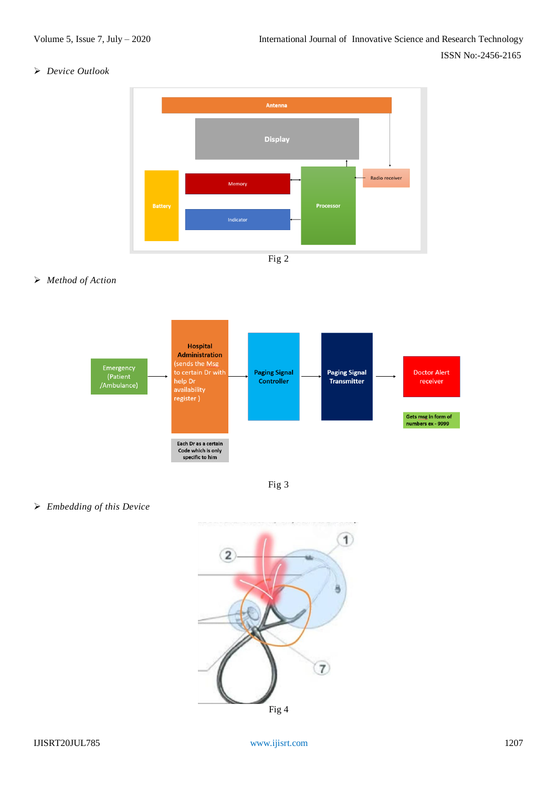#### *Device Outlook*



### *Method of Action*





*Embedding of this Device*

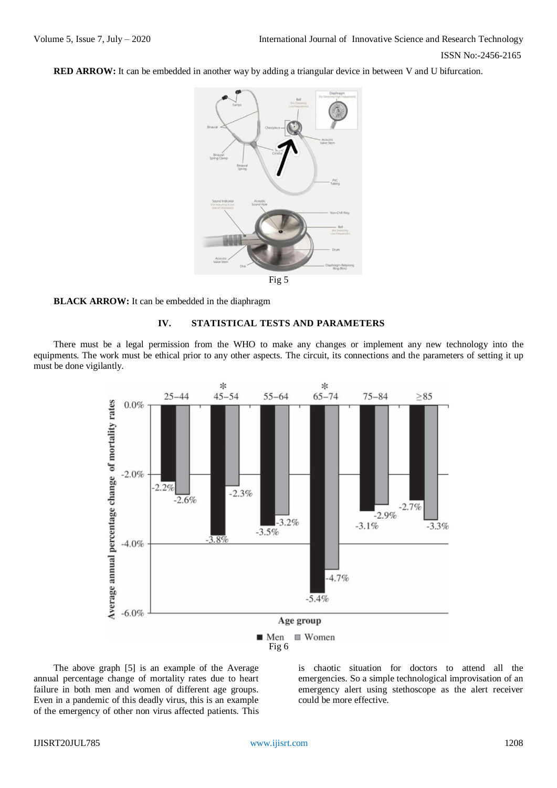**RED ARROW:** It can be embedded in another way by adding a triangular device in between V and U bifurcation.



# Fig 5

#### **BLACK ARROW:** It can be embedded in the diaphragm

#### **IV. STATISTICAL TESTS AND PARAMETERS**

There must be a legal permission from the WHO to make any changes or implement any new technology into the equipments. The work must be ethical prior to any other aspects. The circuit, its connections and the parameters of setting it up must be done vigilantly.



The above graph [5] is an example of the Average annual percentage change of mortality rates due to heart failure in both men and women of different age groups. Even in a pandemic of this deadly virus, this is an example of the emergency of other non virus affected patients. This

is chaotic situation for doctors to attend all the emergencies. So a simple technological improvisation of an emergency alert using stethoscope as the alert receiver could be more effective.